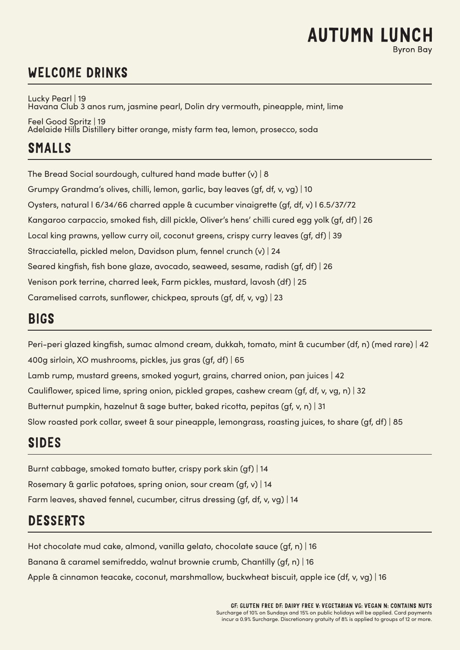# **AUTUMN LUNCH**

# WELCOME DRINKS

Lucky Pearl | 19 Havana Club 3 anos rum, jasmine pearl, Dolin dry vermouth, pineapple, mint, lime Feel Good Spritz | 19 Adelaide Hills Distillery bitter orange, misty farm tea, lemon, prosecco, soda

# SMALLS

The Bread Social sourdough, cultured hand made butter (v) | 8 Grumpy Grandma's olives, chilli, lemon, garlic, bay leaves (gf, df, v, vg) | 10 Oysters, natural l 6/34/66 charred apple & cucumber vinaigrette (gf, df, v) l 6.5/37/72 Kangaroo carpaccio, smoked fish, dill pickle, Oliver's hens' chilli cured egg yolk (gf, df) | 26 Local king prawns, yellow curry oil, coconut greens, crispy curry leaves (gf, df) | 39 Stracciatella, pickled melon, Davidson plum, fennel crunch (v) | 24 Seared kingfish, fish bone glaze, avocado, seaweed, sesame, radish (gf, df) | 26 Venison pork terrine, charred leek, Farm pickles, mustard, lavosh (df) | 25 Caramelised carrots, sunflower, chickpea, sprouts (gf, df, v, vg) | 23

## BIGS

Peri-peri glazed kingfish, sumac almond cream, dukkah, tomato, mint & cucumber (df, n) (med rare) | 42 400g sirloin, XO mushrooms, pickles, jus gras (gf, df) | 65 Lamb rump, mustard greens, smoked yogurt, grains, charred onion, pan juices | 42 Cauliflower, spiced lime, spring onion, pickled grapes, cashew cream (gf, df, v, vg, n) | 32 Butternut pumpkin, hazelnut & sage butter, baked ricotta, pepitas (gf, v, n) | 31 Slow roasted pork collar, sweet & sour pineapple, lemongrass, roasting juices, to share (gf, df) | 85

# SIDES

Burnt cabbage, smoked tomato butter, crispy pork skin (gf) | 14 Rosemary & garlic potatoes, spring onion, sour cream (gf, v) | 14 Farm leaves, shaved fennel, cucumber, citrus dressing (gf, df, v, vg) | 14

# DESSERTS

Hot chocolate mud cake, almond, vanilla gelato, chocolate sauce (gf, n) | 16 Banana & caramel semifreddo, walnut brownie crumb, Chantilly (gf, n) | 16 Apple & cinnamon teacake, coconut, marshmallow, buckwheat biscuit, apple ice (df, v, vg) | 16